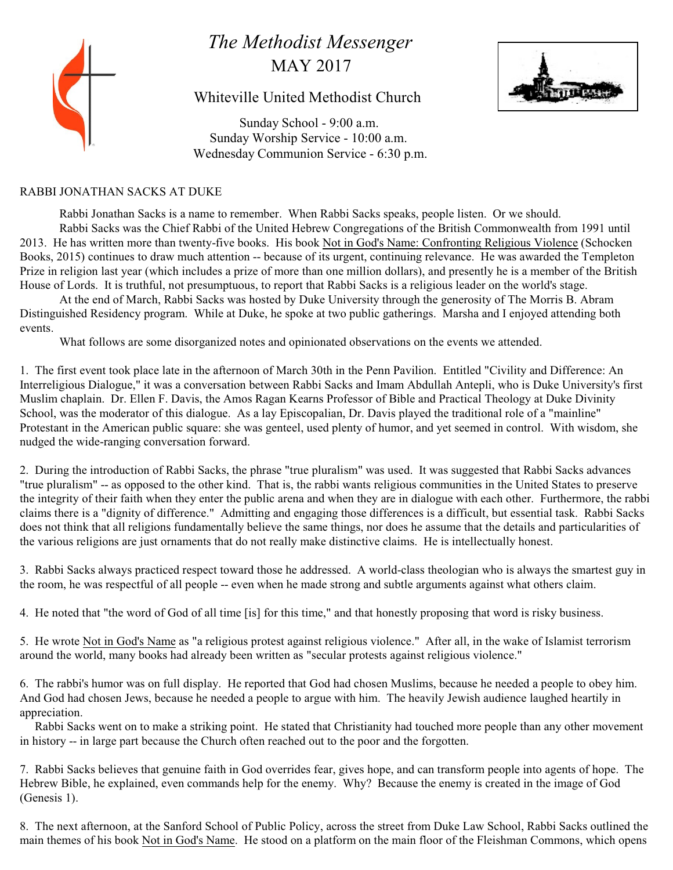# *The Methodist Messenger* MAY 2017

# Whiteville United Methodist Church



 Sunday School - 9:00 a.m. Sunday Worship Service - 10:00 a.m. Wednesday Communion Service - 6:30 p.m.

# RABBI JONATHAN SACKS AT DUKE

Rabbi Jonathan Sacks is a name to remember. When Rabbi Sacks speaks, people listen. Or we should. Rabbi Sacks was the Chief Rabbi of the United Hebrew Congregations of the British Commonwealth from 1991 until 2013. He has written more than twenty-five books. His book Not in God's Name: Confronting Religious Violence (Schocken Books, 2015) continues to draw much attention -- because of its urgent, continuing relevance. He was awarded the Templeton Prize in religion last year (which includes a prize of more than one million dollars), and presently he is a member of the British House of Lords. It is truthful, not presumptuous, to report that Rabbi Sacks is a religious leader on the world's stage.

At the end of March, Rabbi Sacks was hosted by Duke University through the generosity of The Morris B. Abram Distinguished Residency program. While at Duke, he spoke at two public gatherings. Marsha and I enjoyed attending both events.

What follows are some disorganized notes and opinionated observations on the events we attended.

1. The first event took place late in the afternoon of March 30th in the Penn Pavilion. Entitled "Civility and Difference: An Interreligious Dialogue," it was a conversation between Rabbi Sacks and Imam Abdullah Antepli, who is Duke University's first Muslim chaplain. Dr. Ellen F. Davis, the Amos Ragan Kearns Professor of Bible and Practical Theology at Duke Divinity School, was the moderator of this dialogue. As a lay Episcopalian, Dr. Davis played the traditional role of a "mainline" Protestant in the American public square: she was genteel, used plenty of humor, and yet seemed in control. With wisdom, she nudged the wide-ranging conversation forward.

2. During the introduction of Rabbi Sacks, the phrase "true pluralism" was used. It was suggested that Rabbi Sacks advances "true pluralism" -- as opposed to the other kind. That is, the rabbi wants religious communities in the United States to preserve the integrity of their faith when they enter the public arena and when they are in dialogue with each other. Furthermore, the rabbi claims there is a "dignity of difference." Admitting and engaging those differences is a difficult, but essential task. Rabbi Sacks does not think that all religions fundamentally believe the same things, nor does he assume that the details and particularities of the various religions are just ornaments that do not really make distinctive claims. He is intellectually honest.

3. Rabbi Sacks always practiced respect toward those he addressed. A world-class theologian who is always the smartest guy in the room, he was respectful of all people -- even when he made strong and subtle arguments against what others claim.

4. He noted that "the word of God of all time [is] for this time," and that honestly proposing that word is risky business.

5. He wrote Not in God's Name as "a religious protest against religious violence." After all, in the wake of Islamist terrorism around the world, many books had already been written as "secular protests against religious violence."

6. The rabbi's humor was on full display. He reported that God had chosen Muslims, because he needed a people to obey him. And God had chosen Jews, because he needed a people to argue with him. The heavily Jewish audience laughed heartily in appreciation.

 Rabbi Sacks went on to make a striking point. He stated that Christianity had touched more people than any other movement in history -- in large part because the Church often reached out to the poor and the forgotten.

7. Rabbi Sacks believes that genuine faith in God overrides fear, gives hope, and can transform people into agents of hope. The Hebrew Bible, he explained, even commands help for the enemy. Why? Because the enemy is created in the image of God (Genesis 1).

8. The next afternoon, at the Sanford School of Public Policy, across the street from Duke Law School, Rabbi Sacks outlined the main themes of his book Not in God's Name. He stood on a platform on the main floor of the Fleishman Commons, which opens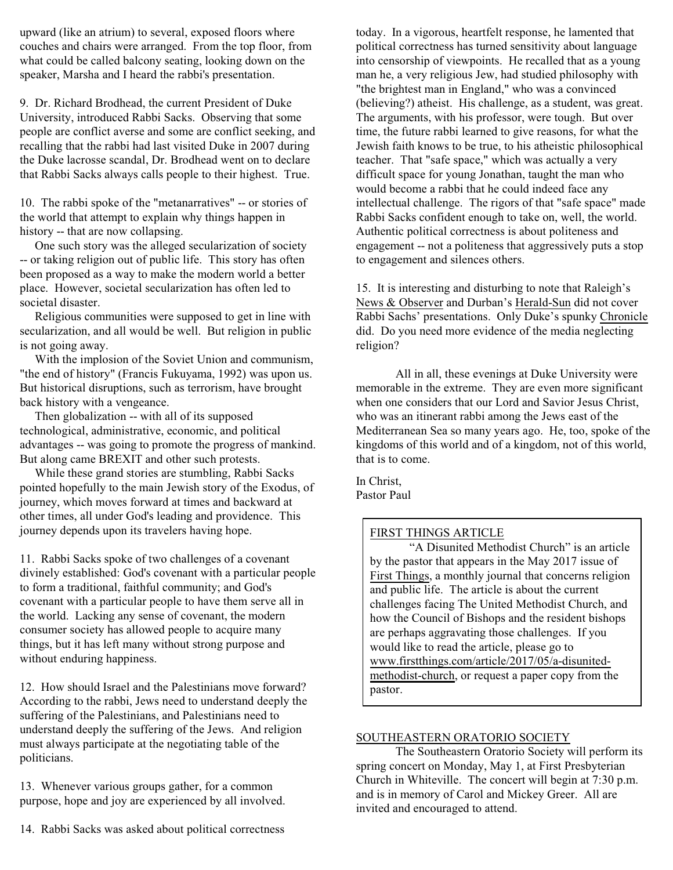upward (like an atrium) to several, exposed floors where couches and chairs were arranged. From the top floor, from what could be called balcony seating, looking down on the speaker, Marsha and I heard the rabbi's presentation.

9. Dr. Richard Brodhead, the current President of Duke University, introduced Rabbi Sacks. Observing that some people are conflict averse and some are conflict seeking, and recalling that the rabbi had last visited Duke in 2007 during the Duke lacrosse scandal, Dr. Brodhead went on to declare that Rabbi Sacks always calls people to their highest. True.

10. The rabbi spoke of the "metanarratives" -- or stories of the world that attempt to explain why things happen in history -- that are now collapsing.

 One such story was the alleged secularization of society -- or taking religion out of public life. This story has often been proposed as a way to make the modern world a better place. However, societal secularization has often led to societal disaster.

 Religious communities were supposed to get in line with secularization, and all would be well. But religion in public is not going away.

 With the implosion of the Soviet Union and communism, "the end of history" (Francis Fukuyama, 1992) was upon us. But historical disruptions, such as terrorism, have brought back history with a vengeance.

 Then globalization -- with all of its supposed technological, administrative, economic, and political advantages -- was going to promote the progress of mankind. But along came BREXIT and other such protests.

 While these grand stories are stumbling, Rabbi Sacks pointed hopefully to the main Jewish story of the Exodus, of journey, which moves forward at times and backward at other times, all under God's leading and providence. This journey depends upon its travelers having hope.

11. Rabbi Sacks spoke of two challenges of a covenant divinely established: God's covenant with a particular people to form a traditional, faithful community; and God's covenant with a particular people to have them serve all in the world. Lacking any sense of covenant, the modern consumer society has allowed people to acquire many things, but it has left many without strong purpose and without enduring happiness.

12. How should Israel and the Palestinians move forward? According to the rabbi, Jews need to understand deeply the suffering of the Palestinians, and Palestinians need to understand deeply the suffering of the Jews. And religion must always participate at the negotiating table of the politicians.

13. Whenever various groups gather, for a common purpose, hope and joy are experienced by all involved. today. In a vigorous, heartfelt response, he lamented that political correctness has turned sensitivity about language into censorship of viewpoints. He recalled that as a young man he, a very religious Jew, had studied philosophy with "the brightest man in England," who was a convinced (believing?) atheist. His challenge, as a student, was great. The arguments, with his professor, were tough. But over time, the future rabbi learned to give reasons, for what the Jewish faith knows to be true, to his atheistic philosophical teacher. That "safe space," which was actually a very difficult space for young Jonathan, taught the man who would become a rabbi that he could indeed face any intellectual challenge. The rigors of that "safe space" made Rabbi Sacks confident enough to take on, well, the world. Authentic political correctness is about politeness and engagement -- not a politeness that aggressively puts a stop to engagement and silences others.

15. It is interesting and disturbing to note that Raleigh's News & Observer and Durban's Herald-Sun did not cover Rabbi Sachs' presentations. Only Duke's spunky Chronicle did. Do you need more evidence of the media neglecting religion?

All in all, these evenings at Duke University were memorable in the extreme. They are even more significant when one considers that our Lord and Savior Jesus Christ, who was an itinerant rabbi among the Jews east of the Mediterranean Sea so many years ago. He, too, spoke of the kingdoms of this world and of a kingdom, not of this world, that is to come.

In Christ, Pastor Paul

# FIRST THINGS ARTICLE

"A Disunited Methodist Church" is an article by the pastor that appears in the May 2017 issue of First Things, a monthly journal that concerns religion and public life. The article is about the current challenges facing The United Methodist Church, and how the Council of Bishops and the resident bishops are perhaps aggravating those challenges. If you would like to read the article, please go to www.firstthings.com/article/2017/05/a-disunitedmethodist-church, or request a paper copy from the pastor.

## SOUTHEASTERN ORATORIO SOCIETY

The Southeastern Oratorio Society will perform its spring concert on Monday, May 1, at First Presbyterian Church in Whiteville. The concert will begin at 7:30 p.m. and is in memory of Carol and Mickey Greer. All are invited and encouraged to attend.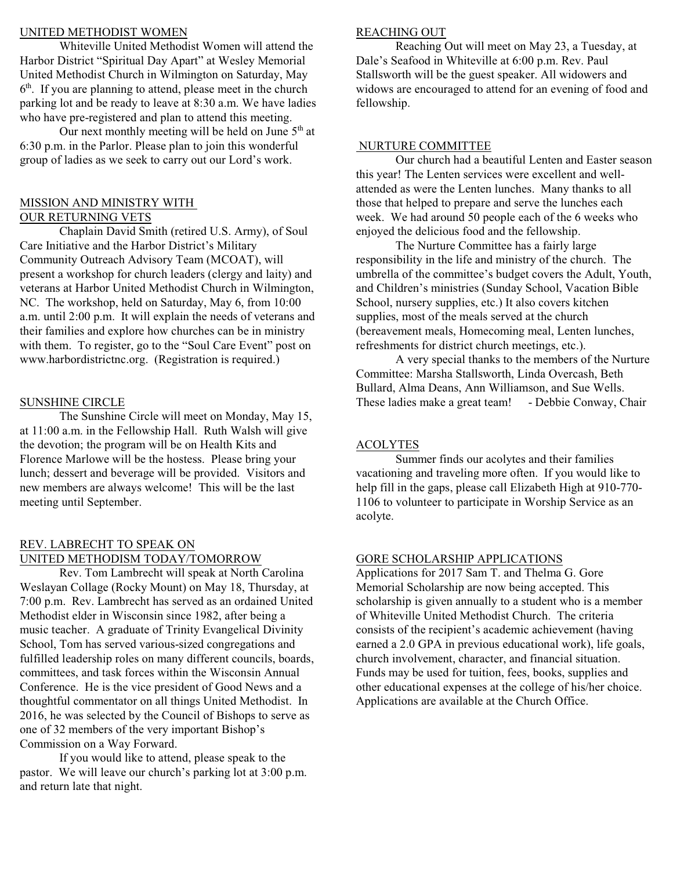#### UNITED METHODIST WOMEN

Whiteville United Methodist Women will attend the Harbor District "Spiritual Day Apart" at Wesley Memorial United Methodist Church in Wilmington on Saturday, May  $6<sup>th</sup>$ . If you are planning to attend, please meet in the church parking lot and be ready to leave at 8:30 a.m. We have ladies who have pre-registered and plan to attend this meeting.

Our next monthly meeting will be held on June  $5<sup>th</sup>$  at 6:30 p.m. in the Parlor. Please plan to join this wonderful group of ladies as we seek to carry out our Lord's work.

#### MISSION AND MINISTRY WITH OUR RETURNING VETS

Chaplain David Smith (retired U.S. Army), of Soul Care Initiative and the Harbor District's Military Community Outreach Advisory Team (MCOAT), will present a workshop for church leaders (clergy and laity) and veterans at Harbor United Methodist Church in Wilmington, NC. The workshop, held on Saturday, May 6, from 10:00 a.m. until 2:00 p.m. It will explain the needs of veterans and their families and explore how churches can be in ministry with them. To register, go to the "Soul Care Event" post on www.harbordistrictnc.org. (Registration is required.)

#### SUNSHINE CIRCLE

The Sunshine Circle will meet on Monday, May 15, at 11:00 a.m. in the Fellowship Hall. Ruth Walsh will give the devotion; the program will be on Health Kits and Florence Marlowe will be the hostess. Please bring your lunch; dessert and beverage will be provided. Visitors and new members are always welcome! This will be the last meeting until September.

## REV. LABRECHT TO SPEAK ON UNITED METHODISM TODAY/TOMORROW

Rev. Tom Lambrecht will speak at North Carolina Weslayan Collage (Rocky Mount) on May 18, Thursday, at 7:00 p.m. Rev. Lambrecht has served as an ordained United Methodist elder in Wisconsin since 1982, after being a music teacher. A graduate of Trinity Evangelical Divinity School, Tom has served various-sized congregations and fulfilled leadership roles on many different councils, boards, committees, and task forces within the Wisconsin Annual Conference. He is the vice president of Good News and a thoughtful commentator on all things United Methodist. In 2016, he was selected by the Council of Bishops to serve as one of 32 members of the very important Bishop's Commission on a Way Forward.

If you would like to attend, please speak to the pastor. We will leave our church's parking lot at 3:00 p.m. and return late that night.

#### REACHING OUT

Reaching Out will meet on May 23, a Tuesday, at Dale's Seafood in Whiteville at 6:00 p.m. Rev. Paul Stallsworth will be the guest speaker. All widowers and widows are encouraged to attend for an evening of food and fellowship.

#### NURTURE COMMITTEE

Our church had a beautiful Lenten and Easter season this year! The Lenten services were excellent and wellattended as were the Lenten lunches. Many thanks to all those that helped to prepare and serve the lunches each week. We had around 50 people each of the 6 weeks who enjoyed the delicious food and the fellowship.

The Nurture Committee has a fairly large responsibility in the life and ministry of the church. The umbrella of the committee's budget covers the Adult, Youth, and Children's ministries (Sunday School, Vacation Bible School, nursery supplies, etc.) It also covers kitchen supplies, most of the meals served at the church (bereavement meals, Homecoming meal, Lenten lunches, refreshments for district church meetings, etc.).

A very special thanks to the members of the Nurture Committee: Marsha Stallsworth, Linda Overcash, Beth Bullard, Alma Deans, Ann Williamson, and Sue Wells. These ladies make a great team! - Debbie Conway, Chair

#### ACOLYTES

Summer finds our acolytes and their families vacationing and traveling more often. If you would like to help fill in the gaps, please call Elizabeth High at 910-770- 1106 to volunteer to participate in Worship Service as an acolyte.

#### GORE SCHOLARSHIP APPLICATIONS

Applications for 2017 Sam T. and Thelma G. Gore Memorial Scholarship are now being accepted. This scholarship is given annually to a student who is a member of Whiteville United Methodist Church. The criteria consists of the recipient's academic achievement (having earned a 2.0 GPA in previous educational work), life goals, church involvement, character, and financial situation. Funds may be used for tuition, fees, books, supplies and other educational expenses at the college of his/her choice. Applications are available at the Church Office.